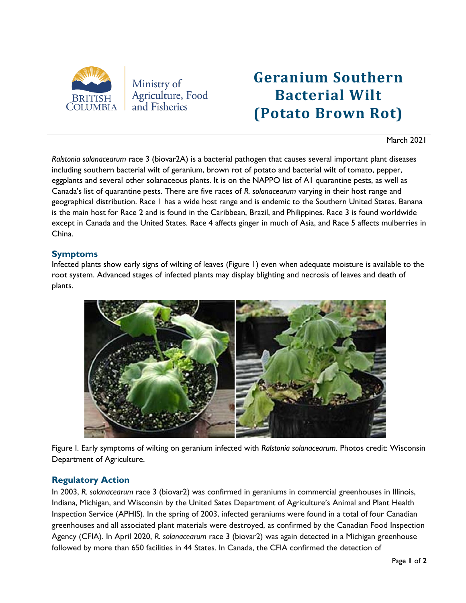

# **Geranium Southern Bacterial Wilt (Potato Brown Rot)**

# March 2021

*Ralstonia solanacearum* race 3 (biovar2A) is a bacterial pathogen that causes several important plant diseases including southern bacterial wilt of geranium, brown rot of potato and bacterial wilt of tomato, pepper, eggplants and several other solanaceous plants. It is on the NAPPO list of A1 quarantine pests, as well as Canada's list of quarantine pests. There are five races of *R. solanacearum* varying in their host range and geographical distribution. Race 1 has a wide host range and is endemic to the Southern United States. Banana is the main host for Race 2 and is found in the Caribbean, Brazil, and Philippines. Race 3 is found worldwide except in Canada and the United States. Race 4 affects ginger in much of Asia, and Race 5 affects mulberries in China.

# **Symptoms**

Infected plants show early signs of wilting of leaves (Figure 1) even when adequate moisture is available to the root system. Advanced stages of infected plants may display blighting and necrosis of leaves and death of plants.



Figure I. Early symptoms of wilting on geranium infected with *Ralstonia solanacearum*. Photos credit: Wisconsin Department of Agriculture.

# **Regulatory Action**

In 2003, *R. solanacearum* race 3 (biovar2) was confirmed in geraniums in commercial greenhouses in Illinois, Indiana, Michigan, and Wisconsin by the United Sates Department of Agriculture's Animal and Plant Health Inspection Service (APHIS). In the spring of 2003, infected geraniums were found in a total of four Canadian greenhouses and all associated plant materials were destroyed, as confirmed by the Canadian Food Inspection Agency (CFIA). In April 2020, *R. solanacearum* race 3 (biovar2) was again detected in a Michigan greenhouse followed by more than 650 facilities in 44 States. In Canada, the CFIA confirmed the detection of